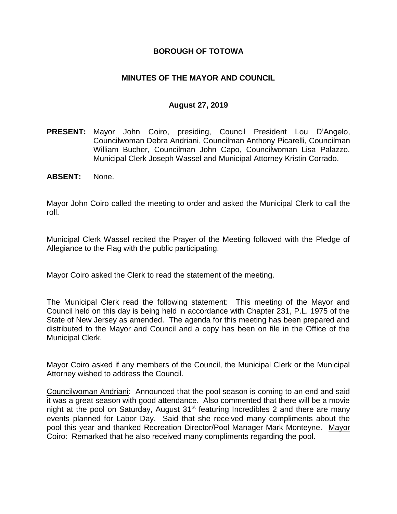### **BOROUGH OF TOTOWA**

### **MINUTES OF THE MAYOR AND COUNCIL**

#### **August 27, 2019**

- **PRESENT:** Mayor John Coiro, presiding, Council President Lou D'Angelo, Councilwoman Debra Andriani, Councilman Anthony Picarelli, Councilman William Bucher, Councilman John Capo, Councilwoman Lisa Palazzo, Municipal Clerk Joseph Wassel and Municipal Attorney Kristin Corrado.
- **ABSENT:** None.

Mayor John Coiro called the meeting to order and asked the Municipal Clerk to call the roll.

Municipal Clerk Wassel recited the Prayer of the Meeting followed with the Pledge of Allegiance to the Flag with the public participating.

Mayor Coiro asked the Clerk to read the statement of the meeting.

The Municipal Clerk read the following statement: This meeting of the Mayor and Council held on this day is being held in accordance with Chapter 231, P.L. 1975 of the State of New Jersey as amended. The agenda for this meeting has been prepared and distributed to the Mayor and Council and a copy has been on file in the Office of the Municipal Clerk.

Mayor Coiro asked if any members of the Council, the Municipal Clerk or the Municipal Attorney wished to address the Council.

Councilwoman Andriani: Announced that the pool season is coming to an end and said it was a great season with good attendance. Also commented that there will be a movie night at the pool on Saturday, August  $31<sup>st</sup>$  featuring Incredibles 2 and there are many events planned for Labor Day. Said that she received many compliments about the pool this year and thanked Recreation Director/Pool Manager Mark Monteyne. Mayor Coiro: Remarked that he also received many compliments regarding the pool.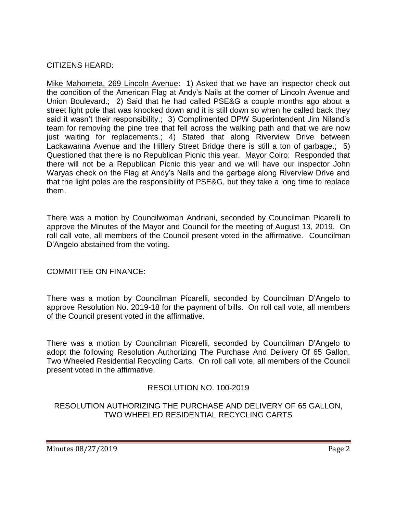## CITIZENS HEARD:

Mike Mahometa, 269 Lincoln Avenue: 1) Asked that we have an inspector check out the condition of the American Flag at Andy's Nails at the corner of Lincoln Avenue and Union Boulevard.; 2) Said that he had called PSE&G a couple months ago about a street light pole that was knocked down and it is still down so when he called back they said it wasn't their responsibility.; 3) Complimented DPW Superintendent Jim Niland's team for removing the pine tree that fell across the walking path and that we are now just waiting for replacements.; 4) Stated that along Riverview Drive between Lackawanna Avenue and the Hillery Street Bridge there is still a ton of garbage.; 5) Questioned that there is no Republican Picnic this year. Mayor Coiro: Responded that there will not be a Republican Picnic this year and we will have our inspector John Waryas check on the Flag at Andy's Nails and the garbage along Riverview Drive and that the light poles are the responsibility of PSE&G, but they take a long time to replace them.

There was a motion by Councilwoman Andriani, seconded by Councilman Picarelli to approve the Minutes of the Mayor and Council for the meeting of August 13, 2019. On roll call vote, all members of the Council present voted in the affirmative. Councilman D'Angelo abstained from the voting.

COMMITTEE ON FINANCE:

There was a motion by Councilman Picarelli, seconded by Councilman D'Angelo to approve Resolution No. 2019-18 for the payment of bills. On roll call vote, all members of the Council present voted in the affirmative.

There was a motion by Councilman Picarelli, seconded by Councilman D'Angelo to adopt the following Resolution Authorizing The Purchase And Delivery Of 65 Gallon, Two Wheeled Residential Recycling Carts. On roll call vote, all members of the Council present voted in the affirmative.

## RESOLUTION NO. 100-2019

RESOLUTION AUTHORIZING THE PURCHASE AND DELIVERY OF 65 GALLON, TWO WHEELED RESIDENTIAL RECYCLING CARTS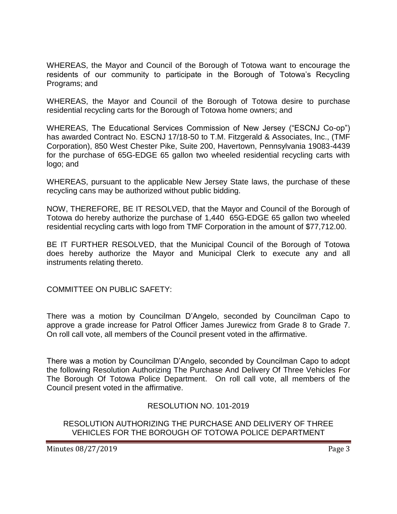WHEREAS, the Mayor and Council of the Borough of Totowa want to encourage the residents of our community to participate in the Borough of Totowa's Recycling Programs; and

WHEREAS, the Mayor and Council of the Borough of Totowa desire to purchase residential recycling carts for the Borough of Totowa home owners; and

WHEREAS, The Educational Services Commission of New Jersey ("ESCNJ Co-op") has awarded Contract No. ESCNJ 17/18-50 to T.M. Fitzgerald & Associates, Inc., (TMF Corporation), 850 West Chester Pike, Suite 200, Havertown, Pennsylvania 19083-4439 for the purchase of 65G-EDGE 65 gallon two wheeled residential recycling carts with logo; and

WHEREAS, pursuant to the applicable New Jersey State laws, the purchase of these recycling cans may be authorized without public bidding.

NOW, THEREFORE, BE IT RESOLVED, that the Mayor and Council of the Borough of Totowa do hereby authorize the purchase of 1,440 65G-EDGE 65 gallon two wheeled residential recycling carts with logo from TMF Corporation in the amount of \$77,712.00.

BE IT FURTHER RESOLVED, that the Municipal Council of the Borough of Totowa does hereby authorize the Mayor and Municipal Clerk to execute any and all instruments relating thereto.

COMMITTEE ON PUBLIC SAFETY:

There was a motion by Councilman D'Angelo, seconded by Councilman Capo to approve a grade increase for Patrol Officer James Jurewicz from Grade 8 to Grade 7. On roll call vote, all members of the Council present voted in the affirmative.

There was a motion by Councilman D'Angelo, seconded by Councilman Capo to adopt the following Resolution Authorizing The Purchase And Delivery Of Three Vehicles For The Borough Of Totowa Police Department. On roll call vote, all members of the Council present voted in the affirmative.

RESOLUTION NO. 101-2019

RESOLUTION AUTHORIZING THE PURCHASE AND DELIVERY OF THREE VEHICLES FOR THE BOROUGH OF TOTOWA POLICE DEPARTMENT

Minutes 08/27/2019 **Page 3**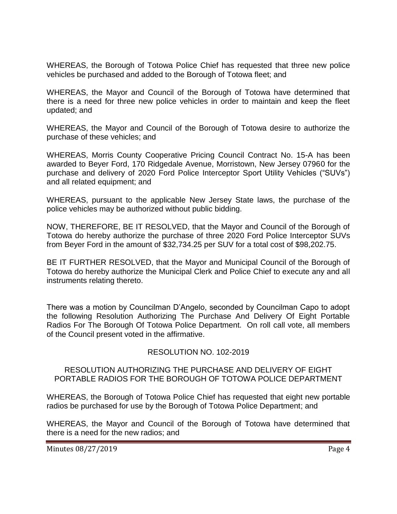WHEREAS, the Borough of Totowa Police Chief has requested that three new police vehicles be purchased and added to the Borough of Totowa fleet; and

WHEREAS, the Mayor and Council of the Borough of Totowa have determined that there is a need for three new police vehicles in order to maintain and keep the fleet updated; and

WHEREAS, the Mayor and Council of the Borough of Totowa desire to authorize the purchase of these vehicles; and

WHEREAS, Morris County Cooperative Pricing Council Contract No. 15-A has been awarded to Beyer Ford, 170 Ridgedale Avenue, Morristown, New Jersey 07960 for the purchase and delivery of 2020 Ford Police Interceptor Sport Utility Vehicles ("SUVs") and all related equipment; and

WHEREAS, pursuant to the applicable New Jersey State laws, the purchase of the police vehicles may be authorized without public bidding.

NOW, THEREFORE, BE IT RESOLVED, that the Mayor and Council of the Borough of Totowa do hereby authorize the purchase of three 2020 Ford Police Interceptor SUVs from Beyer Ford in the amount of \$32,734.25 per SUV for a total cost of \$98,202.75.

BE IT FURTHER RESOLVED, that the Mayor and Municipal Council of the Borough of Totowa do hereby authorize the Municipal Clerk and Police Chief to execute any and all instruments relating thereto.

There was a motion by Councilman D'Angelo, seconded by Councilman Capo to adopt the following Resolution Authorizing The Purchase And Delivery Of Eight Portable Radios For The Borough Of Totowa Police Department. On roll call vote, all members of the Council present voted in the affirmative.

## RESOLUTION NO. 102-2019

#### RESOLUTION AUTHORIZING THE PURCHASE AND DELIVERY OF EIGHT PORTABLE RADIOS FOR THE BOROUGH OF TOTOWA POLICE DEPARTMENT

WHEREAS, the Borough of Totowa Police Chief has requested that eight new portable radios be purchased for use by the Borough of Totowa Police Department; and

WHEREAS, the Mayor and Council of the Borough of Totowa have determined that there is a need for the new radios; and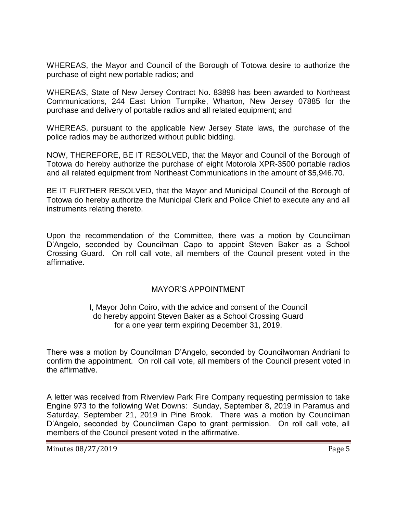WHEREAS, the Mayor and Council of the Borough of Totowa desire to authorize the purchase of eight new portable radios; and

WHEREAS, State of New Jersey Contract No. 83898 has been awarded to Northeast Communications, 244 East Union Turnpike, Wharton, New Jersey 07885 for the purchase and delivery of portable radios and all related equipment; and

WHEREAS, pursuant to the applicable New Jersey State laws, the purchase of the police radios may be authorized without public bidding.

NOW, THEREFORE, BE IT RESOLVED, that the Mayor and Council of the Borough of Totowa do hereby authorize the purchase of eight Motorola XPR-3500 portable radios and all related equipment from Northeast Communications in the amount of \$5,946.70.

BE IT FURTHER RESOLVED, that the Mayor and Municipal Council of the Borough of Totowa do hereby authorize the Municipal Clerk and Police Chief to execute any and all instruments relating thereto.

Upon the recommendation of the Committee, there was a motion by Councilman D'Angelo, seconded by Councilman Capo to appoint Steven Baker as a School Crossing Guard. On roll call vote, all members of the Council present voted in the affirmative.

## MAYOR'S APPOINTMENT

#### I, Mayor John Coiro, with the advice and consent of the Council do hereby appoint Steven Baker as a School Crossing Guard for a one year term expiring December 31, 2019.

There was a motion by Councilman D'Angelo, seconded by Councilwoman Andriani to confirm the appointment. On roll call vote, all members of the Council present voted in the affirmative.

A letter was received from Riverview Park Fire Company requesting permission to take Engine 973 to the following Wet Downs: Sunday, September 8, 2019 in Paramus and Saturday, September 21, 2019 in Pine Brook. There was a motion by Councilman D'Angelo, seconded by Councilman Capo to grant permission. On roll call vote, all members of the Council present voted in the affirmative.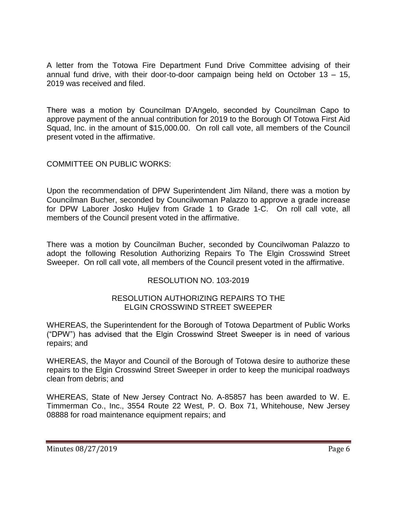A letter from the Totowa Fire Department Fund Drive Committee advising of their annual fund drive, with their door-to-door campaign being held on October 13 – 15, 2019 was received and filed.

There was a motion by Councilman D'Angelo, seconded by Councilman Capo to approve payment of the annual contribution for 2019 to the Borough Of Totowa First Aid Squad, Inc. in the amount of \$15,000.00. On roll call vote, all members of the Council present voted in the affirmative.

## COMMITTEE ON PUBLIC WORKS:

Upon the recommendation of DPW Superintendent Jim Niland, there was a motion by Councilman Bucher, seconded by Councilwoman Palazzo to approve a grade increase for DPW Laborer Josko Huljev from Grade 1 to Grade 1-C. On roll call vote, all members of the Council present voted in the affirmative.

There was a motion by Councilman Bucher, seconded by Councilwoman Palazzo to adopt the following Resolution Authorizing Repairs To The Elgin Crosswind Street Sweeper. On roll call vote, all members of the Council present voted in the affirmative.

## RESOLUTION NO. 103-2019

### RESOLUTION AUTHORIZING REPAIRS TO THE ELGIN CROSSWIND STREET SWEEPER

WHEREAS, the Superintendent for the Borough of Totowa Department of Public Works ("DPW") has advised that the Elgin Crosswind Street Sweeper is in need of various repairs; and

WHEREAS, the Mayor and Council of the Borough of Totowa desire to authorize these repairs to the Elgin Crosswind Street Sweeper in order to keep the municipal roadways clean from debris; and

WHEREAS, State of New Jersey Contract No. A-85857 has been awarded to W. E. Timmerman Co., Inc., 3554 Route 22 West, P. O. Box 71, Whitehouse, New Jersey 08888 for road maintenance equipment repairs; and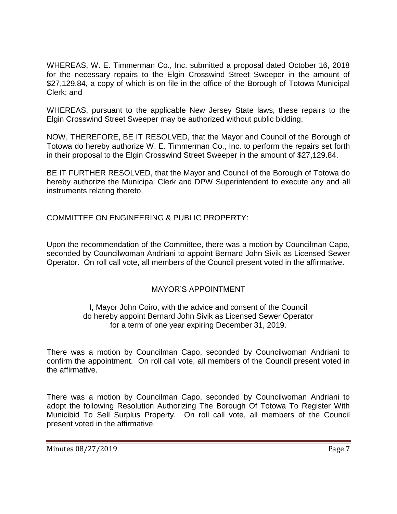WHEREAS, W. E. Timmerman Co., Inc. submitted a proposal dated October 16, 2018 for the necessary repairs to the Elgin Crosswind Street Sweeper in the amount of \$27,129.84, a copy of which is on file in the office of the Borough of Totowa Municipal Clerk; and

WHEREAS, pursuant to the applicable New Jersey State laws, these repairs to the Elgin Crosswind Street Sweeper may be authorized without public bidding.

NOW, THEREFORE, BE IT RESOLVED, that the Mayor and Council of the Borough of Totowa do hereby authorize W. E. Timmerman Co., Inc. to perform the repairs set forth in their proposal to the Elgin Crosswind Street Sweeper in the amount of \$27,129.84.

BE IT FURTHER RESOLVED, that the Mayor and Council of the Borough of Totowa do hereby authorize the Municipal Clerk and DPW Superintendent to execute any and all instruments relating thereto.

COMMITTEE ON ENGINEERING & PUBLIC PROPERTY:

Upon the recommendation of the Committee, there was a motion by Councilman Capo, seconded by Councilwoman Andriani to appoint Bernard John Sivik as Licensed Sewer Operator. On roll call vote, all members of the Council present voted in the affirmative.

## MAYOR'S APPOINTMENT

### I, Mayor John Coiro, with the advice and consent of the Council do hereby appoint Bernard John Sivik as Licensed Sewer Operator for a term of one year expiring December 31, 2019.

There was a motion by Councilman Capo, seconded by Councilwoman Andriani to confirm the appointment. On roll call vote, all members of the Council present voted in the affirmative.

There was a motion by Councilman Capo, seconded by Councilwoman Andriani to adopt the following Resolution Authorizing The Borough Of Totowa To Register With Municibid To Sell Surplus Property. On roll call vote, all members of the Council present voted in the affirmative.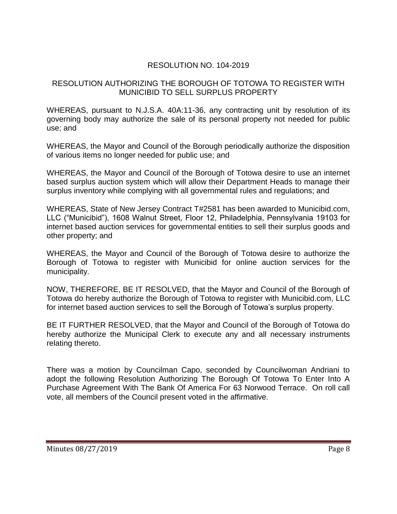# RESOLUTION NO. 104-2019

### RESOLUTION AUTHORIZING THE BOROUGH OF TOTOWA TO REGISTER WITH MUNICIBID TO SELL SURPLUS PROPERTY

WHEREAS, pursuant to N.J.S.A. 40A:11-36, any contracting unit by resolution of its governing body may authorize the sale of its personal property not needed for public use; and

WHEREAS, the Mayor and Council of the Borough periodically authorize the disposition of various items no longer needed for public use; and

WHEREAS, the Mayor and Council of the Borough of Totowa desire to use an internet based surplus auction system which will allow their Department Heads to manage their surplus inventory while complying with all governmental rules and regulations; and

WHEREAS, State of New Jersey Contract T#2581 has been awarded to Municibid.com, LLC ("Municibid"), 1608 Walnut Street, Floor 12, Philadelphia, Pennsylvania 19103 for internet based auction services for governmental entities to sell their surplus goods and other property; and

WHEREAS, the Mayor and Council of the Borough of Totowa desire to authorize the Borough of Totowa to register with Municibid for online auction services for the municipality.

NOW, THEREFORE, BE IT RESOLVED, that the Mayor and Council of the Borough of Totowa do hereby authorize the Borough of Totowa to register with Municibid.com, LLC for internet based auction services to sell the Borough of Totowa's surplus property.

BE IT FURTHER RESOLVED, that the Mayor and Council of the Borough of Totowa do hereby authorize the Municipal Clerk to execute any and all necessary instruments relating thereto.

There was a motion by Councilman Capo, seconded by Councilwoman Andriani to adopt the following Resolution Authorizing The Borough Of Totowa To Enter Into A Purchase Agreement With The Bank Of America For 63 Norwood Terrace. On roll call vote, all members of the Council present voted in the affirmative.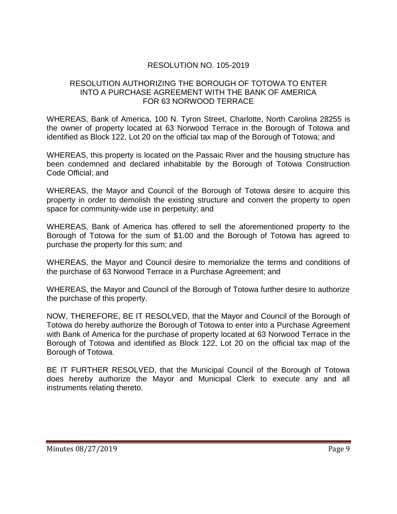# RESOLUTION NO. 105-2019

#### RESOLUTION AUTHORIZING THE BOROUGH OF TOTOWA TO ENTER INTO A PURCHASE AGREEMENT WITH THE BANK OF AMERICA FOR 63 NORWOOD TERRACE

WHEREAS, Bank of America, 100 N. Tyron Street, Charlotte, North Carolina 28255 is the owner of property located at 63 Norwood Terrace in the Borough of Totowa and identified as Block 122, Lot 20 on the official tax map of the Borough of Totowa; and

WHEREAS, this property is located on the Passaic River and the housing structure has been condemned and declared inhabitable by the Borough of Totowa Construction Code Official; and

WHEREAS, the Mayor and Council of the Borough of Totowa desire to acquire this property in order to demolish the existing structure and convert the property to open space for community-wide use in perpetuity; and

WHEREAS, Bank of America has offered to sell the aforementioned property to the Borough of Totowa for the sum of \$1.00 and the Borough of Totowa has agreed to purchase the property for this sum; and

WHEREAS, the Mayor and Council desire to memorialize the terms and conditions of the purchase of 63 Norwood Terrace in a Purchase Agreement; and

WHEREAS, the Mayor and Council of the Borough of Totowa further desire to authorize the purchase of this property.

NOW, THEREFORE, BE IT RESOLVED, that the Mayor and Council of the Borough of Totowa do hereby authorize the Borough of Totowa to enter into a Purchase Agreement with Bank of America for the purchase of property located at 63 Norwood Terrace in the Borough of Totowa and identified as Block 122, Lot 20 on the official tax map of the Borough of Totowa.

BE IT FURTHER RESOLVED, that the Municipal Council of the Borough of Totowa does hereby authorize the Mayor and Municipal Clerk to execute any and all instruments relating thereto.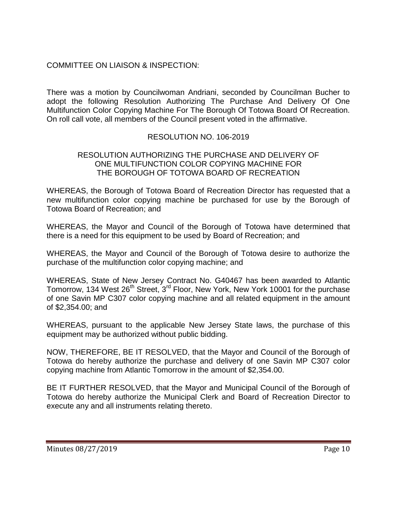# COMMITTEE ON LIAISON & INSPECTION:

There was a motion by Councilwoman Andriani, seconded by Councilman Bucher to adopt the following Resolution Authorizing The Purchase And Delivery Of One Multifunction Color Copying Machine For The Borough Of Totowa Board Of Recreation. On roll call vote, all members of the Council present voted in the affirmative.

### RESOLUTION NO. 106-2019

#### RESOLUTION AUTHORIZING THE PURCHASE AND DELIVERY OF ONE MULTIFUNCTION COLOR COPYING MACHINE FOR THE BOROUGH OF TOTOWA BOARD OF RECREATION

WHEREAS, the Borough of Totowa Board of Recreation Director has requested that a new multifunction color copying machine be purchased for use by the Borough of Totowa Board of Recreation; and

WHEREAS, the Mayor and Council of the Borough of Totowa have determined that there is a need for this equipment to be used by Board of Recreation; and

WHEREAS, the Mayor and Council of the Borough of Totowa desire to authorize the purchase of the multifunction color copying machine; and

WHEREAS, State of New Jersey Contract No. G40467 has been awarded to Atlantic Tomorrow, 134 West 26<sup>th</sup> Street, 3<sup>rd</sup> Floor, New York, New York 10001 for the purchase of one Savin MP C307 color copying machine and all related equipment in the amount of \$2,354.00; and

WHEREAS, pursuant to the applicable New Jersey State laws, the purchase of this equipment may be authorized without public bidding.

NOW, THEREFORE, BE IT RESOLVED, that the Mayor and Council of the Borough of Totowa do hereby authorize the purchase and delivery of one Savin MP C307 color copying machine from Atlantic Tomorrow in the amount of \$2,354.00.

BE IT FURTHER RESOLVED, that the Mayor and Municipal Council of the Borough of Totowa do hereby authorize the Municipal Clerk and Board of Recreation Director to execute any and all instruments relating thereto.